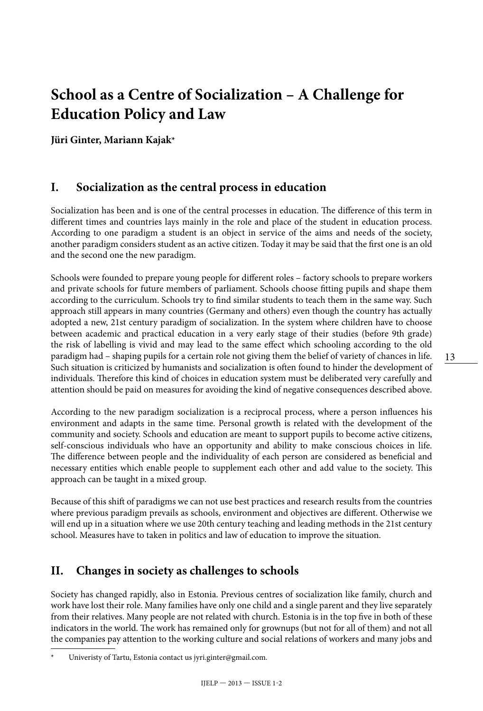# **School as a Centre of Socialization – A Challenge for Education Policy and Law**

**Jüri Ginter, Mariann Kajak\***

### **I. Socialization as the central process in education**

Socialization has been and is one of the central processes in education. The difference of this term in different times and countries lays mainly in the role and place of the student in education process. According to one paradigm a student is an object in service of the aims and needs of the society, another paradigm considers student as an active citizen. Today it may be said that the first one is an old and the second one the new paradigm.

Schools were founded to prepare young people for different roles – factory schools to prepare workers and private schools for future members of parliament. Schools choose fitting pupils and shape them according to the curriculum. Schools try to find similar students to teach them in the same way. Such approach still appears in many countries (Germany and others) even though the country has actually adopted a new, 21st century paradigm of socialization. In the system where children have to choose between academic and practical education in a very early stage of their studies (before 9th grade) the risk of labelling is vivid and may lead to the same effect which schooling according to the old paradigm had – shaping pupils for a certain role not giving them the belief of variety of chances in life. Such situation is criticized by humanists and socialization is often found to hinder the development of individuals. Therefore this kind of choices in education system must be deliberated very carefully and attention should be paid on measures for avoiding the kind of negative consequences described above.

According to the new paradigm socialization is a reciprocal process, where a person influences his environment and adapts in the same time. Personal growth is related with the development of the community and society. Schools and education are meant to support pupils to become active citizens, self-conscious individuals who have an opportunity and ability to make conscious choices in life. The difference between people and the individuality of each person are considered as beneficial and necessary entities which enable people to supplement each other and add value to the society. This approach can be taught in a mixed group.

Because of this shift of paradigms we can not use best practices and research results from the countries where previous paradigm prevails as schools, environment and objectives are different. Otherwise we will end up in a situation where we use 20th century teaching and leading methods in the 21st century school. Measures have to taken in politics and law of education to improve the situation.

## **II. Changes in society as challenges to schools**

Society has changed rapidly, also in Estonia. Previous centres of socialization like family, church and work have lost their role. Many families have only one child and a single parent and they live separately from their relatives. Many people are not related with church. Estonia is in the top five in both of these indicators in the world. The work has remained only for grownups (but not for all of them) and not all the companies pay attention to the working culture and social relations of workers and many jobs and

Univeristy of Tartu, Estonia contact us jyri.ginter@gmail.com.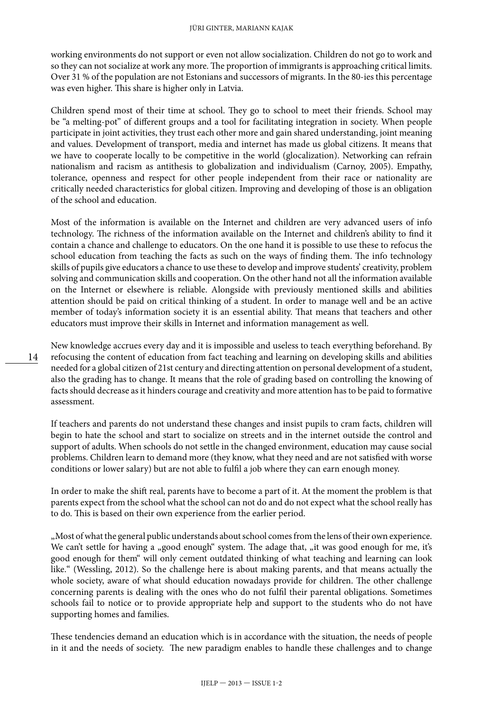working environments do not support or even not allow socialization. Children do not go to work and so they can not socialize at work any more. The proportion of immigrants is approaching critical limits. Over 31 % of the population are not Estonians and successors of migrants. In the 80-ies this percentage was even higher. This share is higher only in Latvia.

Children spend most of their time at school. They go to school to meet their friends. School may be "a melting-pot" of different groups and a tool for facilitating integration in society. When people participate in joint activities, they trust each other more and gain shared understanding, joint meaning and values. Development of transport, media and internet has made us global citizens. It means that we have to cooperate locally to be competitive in the world (glocalization). Networking can refrain nationalism and racism as antithesis to globalization and individualism (Carnoy, 2005). Empathy, tolerance, openness and respect for other people independent from their race or nationality are critically needed characteristics for global citizen. Improving and developing of those is an obligation of the school and education.

Most of the information is available on the Internet and children are very advanced users of info technology. The richness of the information available on the Internet and children's ability to find it contain a chance and challenge to educators. On the one hand it is possible to use these to refocus the school education from teaching the facts as such on the ways of finding them. The info technology skills of pupils give educators a chance to use these to develop and improve students' creativity, problem solving and communication skills and cooperation. On the other hand not all the information available on the Internet or elsewhere is reliable. Alongside with previously mentioned skills and abilities attention should be paid on critical thinking of a student. In order to manage well and be an active member of today's information society it is an essential ability. That means that teachers and other educators must improve their skills in Internet and information management as well.

New knowledge accrues every day and it is impossible and useless to teach everything beforehand. By refocusing the content of education from fact teaching and learning on developing skills and abilities needed for a global citizen of 21st century and directing attention on personal development of a student, also the grading has to change. It means that the role of grading based on controlling the knowing of facts should decrease as it hinders courage and creativity and more attention has to be paid to formative assessment.

If teachers and parents do not understand these changes and insist pupils to cram facts, children will begin to hate the school and start to socialize on streets and in the internet outside the control and support of adults. When schools do not settle in the changed environment, education may cause social problems. Children learn to demand more (they know, what they need and are not satisfied with worse conditions or lower salary) but are not able to fulfil a job where they can earn enough money.

In order to make the shift real, parents have to become a part of it. At the moment the problem is that parents expect from the school what the school can not do and do not expect what the school really has to do. This is based on their own experience from the earlier period.

"Most of what the general public understands about school comes from the lens of their own experience. We can't settle for having a "good enough" system. The adage that, "it was good enough for me, it's good enough for them" will only cement outdated thinking of what teaching and learning can look like." (Wessling, 2012). So the challenge here is about making parents, and that means actually the whole society, aware of what should education nowadays provide for children. The other challenge concerning parents is dealing with the ones who do not fulfil their parental obligations. Sometimes schools fail to notice or to provide appropriate help and support to the students who do not have supporting homes and families.

These tendencies demand an education which is in accordance with the situation, the needs of people in it and the needs of society. The new paradigm enables to handle these challenges and to change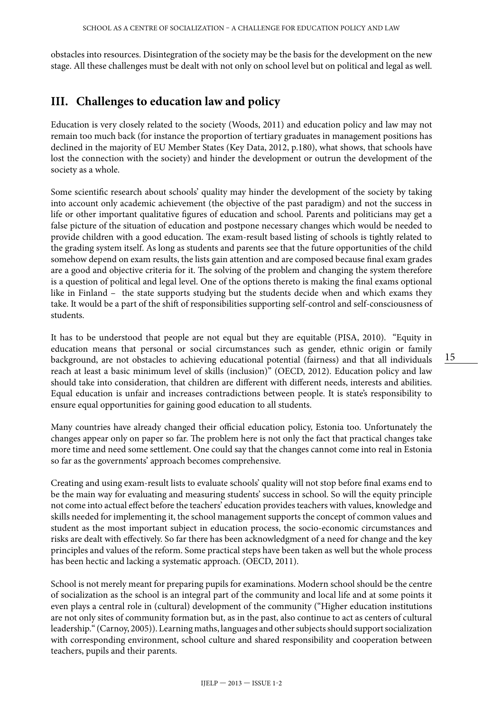obstacles into resources. Disintegration of the society may be the basis for the development on the new stage. All these challenges must be dealt with not only on school level but on political and legal as well.

# **III. Challenges to education law and policy**

Education is very closely related to the society (Woods, 2011) and education policy and law may not remain too much back (for instance the proportion of tertiary graduates in management positions has declined in the majority of EU Member States (Key Data, 2012, p.180), what shows, that schools have lost the connection with the society) and hinder the development or outrun the development of the society as a whole.

Some scientific research about schools' quality may hinder the development of the society by taking into account only academic achievement (the objective of the past paradigm) and not the success in life or other important qualitative figures of education and school. Parents and politicians may get a false picture of the situation of education and postpone necessary changes which would be needed to provide children with a good education. The exam-result based listing of schools is tightly related to the grading system itself. As long as students and parents see that the future opportunities of the child somehow depend on exam results, the lists gain attention and are composed because final exam grades are a good and objective criteria for it. The solving of the problem and changing the system therefore is a question of political and legal level. One of the options thereto is making the final exams optional like in Finland – the state supports studying but the students decide when and which exams they take. It would be a part of the shift of responsibilities supporting self-control and self-consciousness of students.

It has to be understood that people are not equal but they are equitable (PISA, 2010). "Equity in education means that personal or social circumstances such as gender, ethnic origin or family background, are not obstacles to achieving educational potential (fairness) and that all individuals reach at least a basic minimum level of skills (inclusion)" (OECD, 2012). Education policy and law should take into consideration, that children are different with different needs, interests and abilities. Equal education is unfair and increases contradictions between people. It is state's responsibility to ensure equal opportunities for gaining good education to all students.

Many countries have already changed their official education policy, Estonia too. Unfortunately the changes appear only on paper so far. The problem here is not only the fact that practical changes take more time and need some settlement. One could say that the changes cannot come into real in Estonia so far as the governments' approach becomes comprehensive.

Creating and using exam-result lists to evaluate schools' quality will not stop before final exams end to be the main way for evaluating and measuring students' success in school. So will the equity principle not come into actual effect before the teachers' education provides teachers with values, knowledge and skills needed for implementing it, the school management supports the concept of common values and student as the most important subject in education process, the socio-economic circumstances and risks are dealt with effectively. So far there has been acknowledgment of a need for change and the key principles and values of the reform. Some practical steps have been taken as well but the whole process has been hectic and lacking a systematic approach. (OECD, 2011).

School is not merely meant for preparing pupils for examinations. Modern school should be the centre of socialization as the school is an integral part of the community and local life and at some points it even plays a central role in (cultural) development of the community ("Higher education institutions are not only sites of community formation but, as in the past, also continue to act as centers of cultural leadership." (Carnoy, 2005)). Learning maths, languages and other subjects should support socialization with corresponding environment, school culture and shared responsibility and cooperation between teachers, pupils and their parents.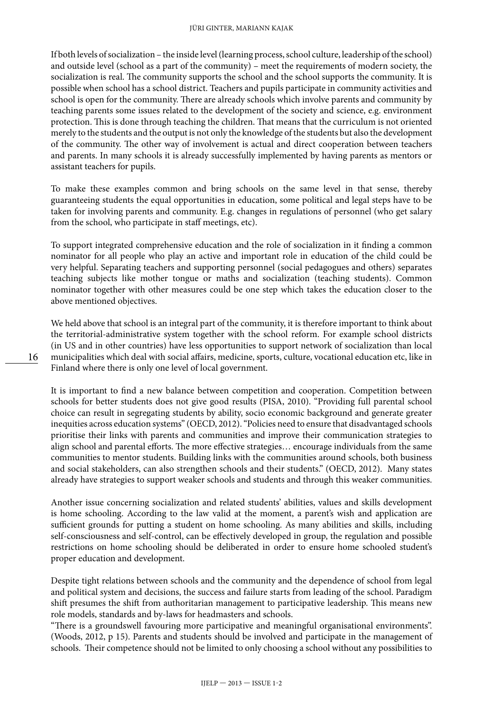If both levels of socialization – the inside level (learning process, school culture, leadership of the school) and outside level (school as a part of the community) – meet the requirements of modern society, the socialization is real. The community supports the school and the school supports the community. It is possible when school has a school district. Teachers and pupils participate in community activities and school is open for the community. There are already schools which involve parents and community by teaching parents some issues related to the development of the society and science, e.g. environment protection. This is done through teaching the children. That means that the curriculum is not oriented merely to the students and the output is not only the knowledge of the students but also the development of the community. The other way of involvement is actual and direct cooperation between teachers and parents. In many schools it is already successfully implemented by having parents as mentors or assistant teachers for pupils.

To make these examples common and bring schools on the same level in that sense, thereby guaranteeing students the equal opportunities in education, some political and legal steps have to be taken for involving parents and community. E.g. changes in regulations of personnel (who get salary from the school, who participate in staff meetings, etc).

To support integrated comprehensive education and the role of socialization in it finding a common nominator for all people who play an active and important role in education of the child could be very helpful. Separating teachers and supporting personnel (social pedagogues and others) separates teaching subjects like mother tongue or maths and socialization (teaching students). Common nominator together with other measures could be one step which takes the education closer to the above mentioned objectives.

We held above that school is an integral part of the community, it is therefore important to think about the territorial-administrative system together with the school reform. For example school districts (in US and in other countries) have less opportunities to support network of socialization than local municipalities which deal with social affairs, medicine, sports, culture, vocational education etc, like in Finland where there is only one level of local government.

It is important to find a new balance between competition and cooperation. Competition between schools for better students does not give good results (PISA, 2010). "Providing full parental school choice can result in segregating students by ability, socio economic background and generate greater inequities across education systems" (OECD, 2012). "Policies need to ensure that disadvantaged schools prioritise their links with parents and communities and improve their communication strategies to align school and parental efforts. The more effective strategies… encourage individuals from the same communities to mentor students. Building links with the communities around schools, both business and social stakeholders, can also strengthen schools and their students." (OECD, 2012). Many states already have strategies to support weaker schools and students and through this weaker communities.

Another issue concerning socialization and related students' abilities, values and skills development is home schooling. According to the law valid at the moment, a parent's wish and application are sufficient grounds for putting a student on home schooling. As many abilities and skills, including self-consciousness and self-control, can be effectively developed in group, the regulation and possible restrictions on home schooling should be deliberated in order to ensure home schooled student's proper education and development.

Despite tight relations between schools and the community and the dependence of school from legal and political system and decisions, the success and failure starts from leading of the school. Paradigm shift presumes the shift from authoritarian management to participative leadership. This means new role models, standards and by-laws for headmasters and schools.

"There is a groundswell favouring more participative and meaningful organisational environments". (Woods, 2012, p 15). Parents and students should be involved and participate in the management of schools. Their competence should not be limited to only choosing a school without any possibilities to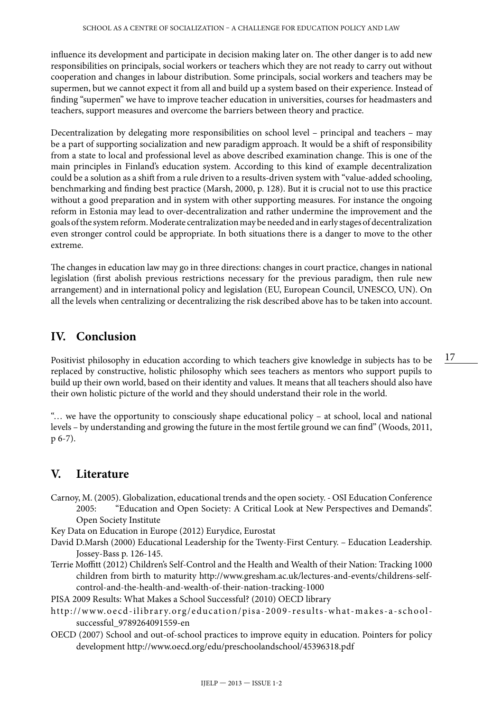influence its development and participate in decision making later on. The other danger is to add new responsibilities on principals, social workers or teachers which they are not ready to carry out without cooperation and changes in labour distribution. Some principals, social workers and teachers may be supermen, but we cannot expect it from all and build up a system based on their experience. Instead of finding "supermen" we have to improve teacher education in universities, courses for headmasters and teachers, support measures and overcome the barriers between theory and practice.

Decentralization by delegating more responsibilities on school level – principal and teachers – may be a part of supporting socialization and new paradigm approach. It would be a shift of responsibility from a state to local and professional level as above described examination change. This is one of the main principles in Finland's education system. According to this kind of example decentralization could be a solution as a shift from a rule driven to a results-driven system with "value-added schooling, benchmarking and finding best practice (Marsh, 2000, p. 128). But it is crucial not to use this practice without a good preparation and in system with other supporting measures. For instance the ongoing reform in Estonia may lead to over-decentralization and rather undermine the improvement and the goals of the system reform. Moderate centralization may be needed and in early stages of decentralization even stronger control could be appropriate. In both situations there is a danger to move to the other extreme.

The changes in education law may go in three directions: changes in court practice, changes in national legislation (first abolish previous restrictions necessary for the previous paradigm, then rule new arrangement) and in international policy and legislation (EU, European Council, UNESCO, UN). On all the levels when centralizing or decentralizing the risk described above has to be taken into account.

### **IV. Conclusion**

Positivist philosophy in education according to which teachers give knowledge in subjects has to be replaced by constructive, holistic philosophy which sees teachers as mentors who support pupils to build up their own world, based on their identity and values. It means that all teachers should also have their own holistic picture of the world and they should understand their role in the world.

"… we have the opportunity to consciously shape educational policy – at school, local and national levels – by understanding and growing the future in the most fertile ground we can find" (Woods, 2011, p 6-7).

## **V. Literature**

- Carnoy, M. (2005). Globalization, educational trends and the open society. OSI Education Conference 2005: "Education and Open Society: A Critical Look at New Perspectives and Demands". Open Society Institute
- Key Data on Education in Europe (2012) Eurydice, Eurostat
- David D.Marsh (2000) Educational Leadership for the Twenty-First Century. Education Leadership. Jossey-Bass p. 126-145.
- Terrie Moffitt (2012) Children's Self-Control and the Health and Wealth of their Nation: Tracking 1000 children from birth to maturity [http://www.gresham.ac.uk/lectures-and-events/childrens-self](http://www.gresham.ac.uk/lectures-and-events/childrens-self-control-and-the-health-and-wealth-of-their-nation-tracking-1000)[control-and-the-health-and-wealth-of-their-nation-tracking-1000](http://www.gresham.ac.uk/lectures-and-events/childrens-self-control-and-the-health-and-wealth-of-their-nation-tracking-1000)

PISA 2009 Results: What Makes a School Successful? (2010) OECD library

- [http://www.oecd-ilibrary.org/education/pisa-2009-results-what-makes-a-school](http://www.oecd-ilibrary.org/education/pisa-2009-results-what-makes-a-school-successful_9789264091559-en)[successful\\_9789264091559-en](http://www.oecd-ilibrary.org/education/pisa-2009-results-what-makes-a-school-successful_9789264091559-en)
- OECD (2007) School and out-of-school practices to improve equity in education. Pointers for policy development <http://www.oecd.org/edu/preschoolandschool/45396318.pdf>

17